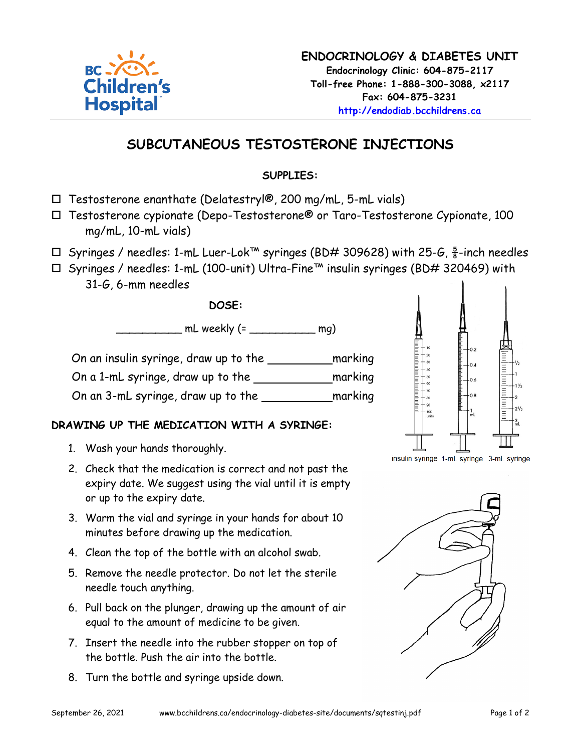

## **SUBCUTANEOUS TESTOSTERONE INJECTIONS**

## **SUPPLIES:**

- $\Box$  Testosterone enanthate (Delatestry $\degree$ , 200 mg/mL, 5-mL vials)
- Testosterone cypionate (Depo-Testosterone® or Taro-Testosterone Cypionate, 100 mg/mL, 10-mL vials)
- $\Box$  Syringes / needles: 1-mL Luer-Lok™ syringes (BD# 309628) with 25-G,  $\frac{5}{8}$ -inch needles
- Syringes / needles: 1-mL (100-unit) Ultra-Fine™ insulin syringes (BD# 320469) with 31-G, 6-mm needles

**DOSE:**

\_\_\_\_\_\_\_\_\_\_ mL weekly (= \_\_\_\_\_\_\_\_\_\_ mg)

On an insulin syringe, draw up to the **marking** 

On a 1-mL syringe, draw up to the marking

On an 3-mL syringe, draw up to the <u>state marking</u>

## **DRAWING UP THE MEDICATION WITH A SYRINGE:**

- 1. Wash your hands thoroughly.
- 2. Check that the medication is correct and not past the expiry date. We suggest using the vial until it is empty or up to the expiry date.
- 3. Warm the vial and syringe in your hands for about 10 minutes before drawing up the medication.
- 4. Clean the top of the bottle with an alcohol swab.
- 5. Remove the needle protector. Do not let the sterile needle touch anything.
- 6. Pull back on the plunger, drawing up the amount of air equal to the amount of medicine to be given.
- 7. Insert the needle into the rubber stopper on top of the bottle. Push the air into the bottle.
- 8. Turn the bottle and syringe upside down.



insulin syringe 1-mL syringe 3-mL syringe